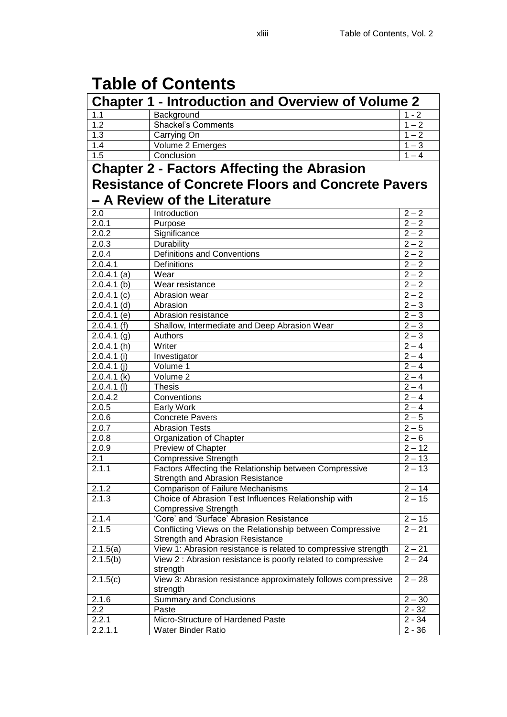## **Table of Contents**

| <b>Chapter 1 - Introduction and Overview of Volume 2</b> |                                                                                            |                     |
|----------------------------------------------------------|--------------------------------------------------------------------------------------------|---------------------|
| 1.1                                                      | Background                                                                                 | $1 - 2$             |
| 1.2                                                      | <b>Shackel's Comments</b>                                                                  | $1 - 2$             |
| 1.3                                                      | Carrying On                                                                                | $1 - 2$             |
| 1.4                                                      | Volume 2 Emerges                                                                           | $1 - 3$             |
| 1.5                                                      | Conclusion                                                                                 | $1 - 4$             |
|                                                          | <b>Chapter 2 - Factors Affecting the Abrasion</b>                                          |                     |
|                                                          |                                                                                            |                     |
|                                                          | <b>Resistance of Concrete Floors and Concrete Pavers</b>                                   |                     |
|                                                          | <b>- A Review of the Literature</b>                                                        |                     |
| 2.0                                                      | Introduction                                                                               | $2 - 2$             |
| 2.0.1                                                    | Purpose                                                                                    | $\frac{1}{2-2}$     |
| 2.0.2                                                    | Significance                                                                               | $2 - 2$             |
| 2.0.3                                                    | Durability                                                                                 | $2 - 2$             |
| 2.0.4                                                    | <b>Definitions and Conventions</b>                                                         | $2 - 2$             |
| 2.0.4.1                                                  | <b>Definitions</b>                                                                         | $2 - 2$             |
| $2.0.4.1$ (a)                                            | Wear                                                                                       | $2 - 2$             |
|                                                          |                                                                                            |                     |
| $2.0.4.1$ (b)                                            | Wear resistance                                                                            | $2 - 2$             |
| 2.0.4.1(c)                                               | Abrasion wear                                                                              | $2 - 2$             |
| $2.0.4.1$ (d)                                            | Abrasion                                                                                   | $2 - 3$             |
| $2.0.4.1$ (e)                                            | Abrasion resistance                                                                        | $2 - 3$             |
| 2.0.4.1(f)                                               | Shallow, Intermediate and Deep Abrasion Wear                                               | $\overline{2} - 3$  |
| 2.0.4.1(g)                                               | Authors                                                                                    | $2 - 3$             |
| 2.0.4.1(h)                                               | Writer                                                                                     | $\overline{2} - 4$  |
| $2.0.4.1$ (i)                                            | Investigator                                                                               | $\overline{2} - 4$  |
| $2.0.4.1$ (j)                                            | Volume 1                                                                                   | $\overline{2} - 4$  |
| $2.0.4.1$ (k)                                            | Volume 2                                                                                   | $\overline{2} - 4$  |
| $2.0.4.1$ (l)                                            | <b>Thesis</b>                                                                              | $\overline{2} - 4$  |
| 2.0.4.2                                                  | Conventions                                                                                | $\overline{2} - 4$  |
| 2.0.5                                                    | <b>Early Work</b>                                                                          | $\overline{2} - 4$  |
| 2.0.6                                                    | <b>Concrete Pavers</b>                                                                     | $\overline{2} - 5$  |
| 2.0.7                                                    | <b>Abrasion Tests</b>                                                                      | $\overline{2} - 5$  |
| 2.0.8                                                    | Organization of Chapter                                                                    | $\overline{2} - 6$  |
| 2.0.9                                                    | Preview of Chapter                                                                         | $2 - 12$            |
| 2.1                                                      | <b>Compressive Strength</b>                                                                | $2 - 13$            |
| 2.1.1                                                    | Factors Affecting the Relationship between Compressive<br>Strength and Abrasion Resistance | $\overline{2}$ – 13 |
| 2.1.2                                                    | <b>Comparison of Failure Mechanisms</b>                                                    | $2 - 14$            |
| 2.1.3                                                    | Choice of Abrasion Test Influences Relationship with                                       | $2 - 15$            |
|                                                          | <b>Compressive Strength</b>                                                                |                     |
| 2.1.4                                                    | 'Core' and 'Surface' Abrasion Resistance                                                   | $2 - 15$            |
| 2.1.5                                                    | Conflicting Views on the Relationship between Compressive                                  | $2 - 21$            |
|                                                          | <b>Strength and Abrasion Resistance</b>                                                    |                     |
| 2.1.5(a)                                                 | View 1: Abrasion resistance is related to compressive strength                             | $2 - 21$            |
| 2.1.5(b)                                                 | View 2 : Abrasion resistance is poorly related to compressive<br>strength                  | $2 - 24$            |
| 2.1.5(c)                                                 | View 3: Abrasion resistance approximately follows compressive                              | $2 - 28$            |
|                                                          | strength                                                                                   |                     |
| 2.1.6                                                    | <b>Summary and Conclusions</b>                                                             | $2 - 30$            |
| 2.2                                                      | Paste                                                                                      | $2 - 32$            |
| 2.2.1                                                    | Micro-Structure of Hardened Paste                                                          | $2 - 34$            |
| 2.2.1.1                                                  | <b>Water Binder Ratio</b>                                                                  | $2 - 36$            |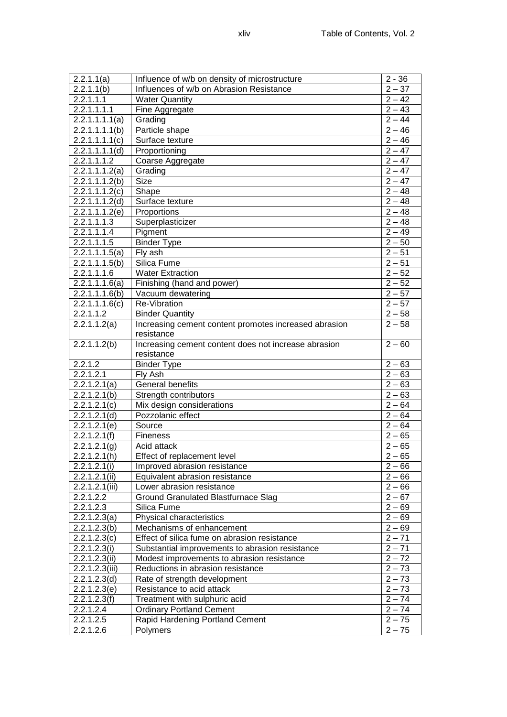| 2.2.1.1(a)             | Influence of w/b on density of microstructure         | $2 - 36$             |
|------------------------|-------------------------------------------------------|----------------------|
| 2.2.1.1(b)             | Influences of w/b on Abrasion Resistance              | $2 - 37$             |
| 2.2.1.1.1              | <b>Water Quantity</b>                                 | $2 - 42$             |
| 2.2.1.1.1.1            | Fine Aggregate                                        | $2 - 43$             |
| 2.2.1.1.1.1(a)         | Grading                                               | $2 - 44$             |
| 2.2.1.1.1.1(b)         | Particle shape                                        | $2 - 46$             |
| 2.2.1.1.1.1(c)         | Surface texture                                       | $2 - 46$             |
| 2.2.1.1.1.1(d)         | Proportioning                                         | $2 - 47$             |
| 2.2.1.1.1.2            | Coarse Aggregate                                      | $2 - 47$             |
| 2.2.1.1.1.2(a)         | Grading                                               | $2 - 47$             |
| 2.2.1.1.1.2(b)         | <b>Size</b>                                           | $2 - 47$             |
| 2.2.1.1.1.2(c)         | Shape                                                 | $2 - 48$             |
| 2.2.1.1.1.2(d)         | Surface texture                                       | $2 - 48$             |
| 2.2.1.1.1.2(e)         | Proportions                                           | $2 - 48$             |
| 2.2.1.1.1.3            | Superplasticizer                                      | $2 - 48$             |
| 2.2.1.1.1.4            | Pigment                                               | $2 - 49$             |
| 2.2.1.1.1.5            | <b>Binder Type</b>                                    | $2 - 50$             |
| 2.2.1.1.1.5(a)         | Fly ash                                               | $2 - 51$             |
| 2.2.1.1.1.5(b)         | Silica Fume                                           | $2 - 51$             |
| 2.2.1.1.1.6            | <b>Water Extraction</b>                               | $2 - 52$             |
| 2.2.1.1.1.6(a)         | Finishing (hand and power)                            | $2 - 52$             |
| 2.2.1.1.1.6(b)         | Vacuum dewatering                                     | $2 - 57$             |
| 2.2.1.1.1.6(c)         | Re-Vibration                                          | $2 - 57$             |
| 2.2.1.1.2              | <b>Binder Quantity</b>                                | $2 - 58$             |
| 2.2.1.1.2(a)           | Increasing cement content promotes increased abrasion | $2 - 58$             |
|                        | resistance                                            |                      |
| 2.2.1.1.2(b)           | Increasing cement content does not increase abrasion  | $2 - 60$             |
|                        | resistance                                            |                      |
|                        |                                                       |                      |
| 2.2.1.2                | <b>Binder Type</b>                                    | $2 - 63$             |
| 2.2.1.2.1              | Fly Ash                                               | $2 - 63$             |
| 2.2.1.2.1(a)           | General benefits                                      | $2 - 63$             |
| 2.2.1.2.1(b)           | Strength contributors                                 | $2 - 63$             |
| 2.2.1.2.1(c)           | Mix design considerations                             | $2 - 64$             |
| 2.2.1.2.1(d)           | Pozzolanic effect                                     | $2 - 64$             |
| 2.2.1.2.1(e)           | Source                                                | $2 - 64$             |
| 2.2.1.2.1(f)           | Fineness                                              | $2 - 65$             |
| 2.2.1.2.1(g)           | Acid attack                                           | $2 - 65$             |
| 2.2.1.2.1(h)           | Effect of replacement level                           | $2 - 65$             |
| 2.2.1.2.1(i)           | Improved abrasion resistance                          | $2 - 66$             |
| 2.2.1.2.1(ii)          | Equivalent abrasion resistance                        | $2 - 66$             |
| 2.2.1.2.1(iii)         | Lower abrasion resistance                             | $2 - 66$             |
| 2.2.1.2.2              | Ground Granulated Blastfurnace Slag                   | $2 - 67$             |
| 2.2.1.2.3              | Silica Fume                                           | $2 - 69$             |
| 2.2.1.2.3(a)           | Physical characteristics                              | $2 - 69$             |
| 2.2.1.2.3(b)           | Mechanisms of enhancement                             | $2 - 69$             |
| 2.2.1.2.3(c)           | Effect of silica fume on abrasion resistance          | $2 - 71$             |
| 2.2.1.2.3(i)           | Substantial improvements to abrasion resistance       | $2 - 71$             |
| 2.2.1.2.3(ii)          | Modest improvements to abrasion resistance            | $2 - 72$             |
| 2.2.1.2.3(iii)         | Reductions in abrasion resistance                     | $2 - 73$             |
| 2.2.1.2.3(d)           | Rate of strength development                          | $2 - 73$             |
| 2.2.1.2.3(e)           | Resistance to acid attack                             | $2 - 73$             |
| 2.2.1.2.3(f)           | Treatment with sulphuric acid                         | $2 - 74$             |
| 2.2.1.2.4              | <b>Ordinary Portland Cement</b>                       | $2 - 74$             |
| 2.2.1.2.5<br>2.2.1.2.6 | Rapid Hardening Portland Cement<br>Polymers           | $2 - 75$<br>$2 - 75$ |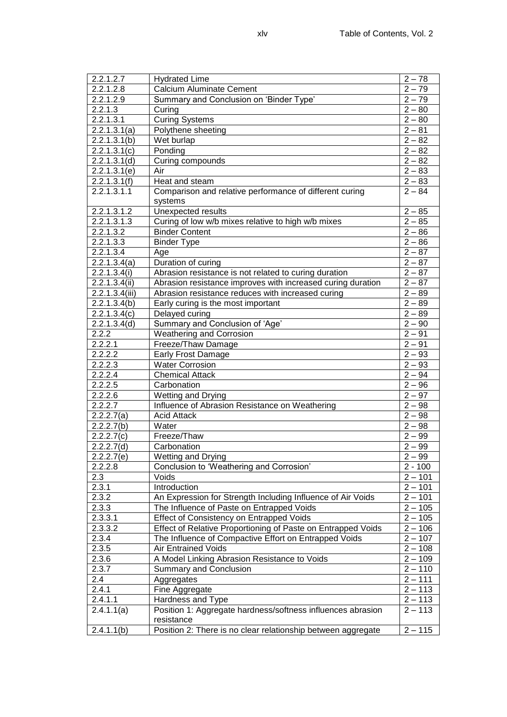| 2.2.1.2.7             | <b>Hydrated Lime</b>                                         | $2 - 78$  |
|-----------------------|--------------------------------------------------------------|-----------|
| 2.2.1.2.8             | <b>Calcium Aluminate Cement</b>                              | $2 - 79$  |
| 2.2.1.2.9             | Summary and Conclusion on 'Binder Type'                      | $2 - 79$  |
| 2.2.1.3               | Curing                                                       | $2 - 80$  |
| 2.2.1.3.1             | <b>Curing Systems</b>                                        | $2 - 80$  |
| 2.2.1.3.1(a)          | Polythene sheeting                                           | $2 - 81$  |
| 2.2.1.3.1(b)          | Wet burlap                                                   | $2 - 82$  |
| 2.2.1.3.1(c)          | Ponding                                                      | $2 - 82$  |
| 2.2.1.3.1(d)          | Curing compounds                                             | $2 - 82$  |
| 2.2.1.3.1(e)          | Air                                                          | $2 - 83$  |
| 2.2.1.3.1(f)          | Heat and steam                                               | $2 - 83$  |
| 2.2.1.3.1.1           | Comparison and relative performance of different curing      | $2 - 84$  |
|                       | systems                                                      |           |
| 2.2.1.3.1.2           | Unexpected results                                           | $2 - 85$  |
| 2.2.1.3.1.3           | Curing of low w/b mixes relative to high w/b mixes           | $2 - 85$  |
| 2.2.1.3.2             | <b>Binder Content</b>                                        | $2 - 86$  |
| 2.2.1.3.3             | <b>Binder Type</b>                                           | $2 - 86$  |
| 2.2.1.3.4             | Age                                                          | $2 - 87$  |
| 2.2.1.3.4(a)          | Duration of curing                                           | $2 - 87$  |
| 2.2.1.3.4(i)          | Abrasion resistance is not related to curing duration        | $2 - 87$  |
| 2.2.1.3.4(ii)         | Abrasion resistance improves with increased curing duration  | $2 - 87$  |
| 2.2.1.3.4(iii)        | Abrasion resistance reduces with increased curing            | $2 - 89$  |
| 2.2.1.3.4(b)          | Early curing is the most important                           | $2 - 89$  |
| 2.2.1.3.4(c)          |                                                              | $2 - 89$  |
|                       | Delayed curing                                               |           |
| 2.2.1.3.4(d)<br>2.2.2 | Summary and Conclusion of 'Age'                              | $2 - 90$  |
|                       | <b>Weathering and Corrosion</b>                              | $2 - 91$  |
| 2.2.2.1               | Freeze/Thaw Damage                                           | $2 - 91$  |
| 2.2.2.2               | Early Frost Damage                                           | $2 - 93$  |
| 2.2.2.3               | <b>Water Corrosion</b>                                       | $2 - 93$  |
| 2.2.2.4               | <b>Chemical Attack</b>                                       | $2 - 94$  |
| 2.2.2.5               | Carbonation                                                  | $2 - 96$  |
| 2.2.2.6               | Wetting and Drying                                           | $2 - 97$  |
| 2.2.2.7               | Influence of Abrasion Resistance on Weathering               | $2 - 98$  |
| 2.2.2.7(a)            | <b>Acid Attack</b>                                           | $2 - 98$  |
| 2.2.2.7(b)            | Water                                                        | $2 - 98$  |
| 2.2.2.7(c)            | Freeze/Thaw                                                  | $2 - 99$  |
| 2.2.2.7(d)            | Carbonation                                                  | $2 - 99$  |
| 2.2.2.7(e)            | <b>Wetting and Drying</b>                                    | $2 - 99$  |
| 2.2.2.8               | Conclusion to 'Weathering and Corrosion'                     | $2 - 100$ |
| 2.3                   | Voids                                                        | $2 - 101$ |
| 2.3.1                 | Introduction                                                 | $2 - 101$ |
| 2.3.2                 | An Expression for Strength Including Influence of Air Voids  | $2 - 101$ |
| 2.3.3                 | The Influence of Paste on Entrapped Voids                    | $2 - 105$ |
| 2.3.3.1               | Effect of Consistency on Entrapped Voids                     | $2 - 105$ |
| 2.3.3.2               | Effect of Relative Proportioning of Paste on Entrapped Voids | $2 - 106$ |
| 2.3.4                 | The Influence of Compactive Effort on Entrapped Voids        | $2 - 107$ |
| 2.3.5                 | <b>Air Entrained Voids</b>                                   | $2 - 108$ |
| 2.3.6                 | A Model Linking Abrasion Resistance to Voids                 | $2 - 109$ |
| 2.3.7                 | <b>Summary and Conclusion</b>                                | $2 - 110$ |
| 2.4                   | Aggregates                                                   | $2 - 111$ |
| 2.4.1                 | Fine Aggregate                                               | $2 - 113$ |
| 2.4.1.1               | Hardness and Type                                            | $2 - 113$ |
| 2.4.1.1(a)            | Position 1: Aggregate hardness/softness influences abrasion  | $2 - 113$ |
|                       | resistance                                                   |           |
| 2.4.1.1(b)            | Position 2: There is no clear relationship between aggregate | $2 - 115$ |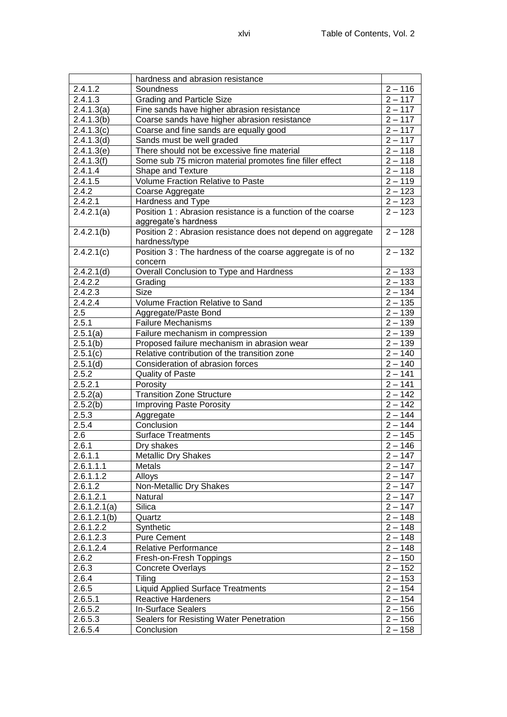|              | hardness and abrasion resistance                              |                      |
|--------------|---------------------------------------------------------------|----------------------|
| 2.4.1.2      | Soundness                                                     | $2 - 116$            |
| 2.4.1.3      | <b>Grading and Particle Size</b>                              | $2 - 117$            |
| 2.4.1.3(a)   | Fine sands have higher abrasion resistance                    | $2 - 117$            |
| 2.4.1.3(b)   | Coarse sands have higher abrasion resistance                  | $2 - 117$            |
| 2.4.1.3(c)   | Coarse and fine sands are equally good                        | $2 - 117$            |
| 2.4.1.3(d)   | Sands must be well graded                                     | $2 - 117$            |
| 2.4.1.3(e)   | There should not be excessive fine material                   | $2 - 118$            |
| 2.4.1.3(f)   | Some sub 75 micron material promotes fine filler effect       | $2 - 118$            |
| 2.4.1.4      | Shape and Texture                                             | $2 - 118$            |
| 2.4.1.5      | Volume Fraction Relative to Paste                             | $2 - 119$            |
| 2.4.2        | Coarse Aggregate                                              | $2 - 123$            |
| 2.4.2.1      | Hardness and Type                                             | $2 - 123$            |
| 2.4.2.1(a)   | Position 1 : Abrasion resistance is a function of the coarse  | $\overline{2}$ – 123 |
|              | aggregate's hardness                                          |                      |
| 2.4.2.1(b)   | Position 2 : Abrasion resistance does not depend on aggregate | $2 - 128$            |
|              | hardness/type                                                 |                      |
| 2.4.2.1(c)   | Position 3 : The hardness of the coarse aggregate is of no    | $2 - 132$            |
|              | concern                                                       |                      |
| 2.4.2.1(d)   | Overall Conclusion to Type and Hardness                       | $2 - 133$            |
| 2.4.2.2      | Grading                                                       | $2 - 133$            |
| 2.4.2.3      | <b>Size</b>                                                   | $2 - 134$            |
| 2.4.2.4      | Volume Fraction Relative to Sand                              | $2 - 135$            |
| 2.5          | Aggregate/Paste Bond                                          | $2 - 139$            |
| 2.5.1        | <b>Failure Mechanisms</b>                                     | $2 - 139$            |
| 2.5.1(a)     | Failure mechanism in compression                              | $2 - 139$            |
| 2.5.1(b)     | Proposed failure mechanism in abrasion wear                   | $2 - 139$            |
| 2.5.1(c)     | Relative contribution of the transition zone                  | $2 - 140$            |
| 2.5.1(d)     | Consideration of abrasion forces                              | $2 - 140$            |
| 2.5.2        | <b>Quality of Paste</b>                                       | $2 - 141$            |
| 2.5.2.1      | Porosity                                                      | $2 - 141$            |
| 2.5.2(a)     | <b>Transition Zone Structure</b>                              | $2 - 142$            |
| 2.5.2(b)     | <b>Improving Paste Porosity</b>                               | $2 - 142$            |
| 2.5.3        | Aggregate                                                     | $2 - 144$            |
| 2.5.4        | Conclusion                                                    | $2 - 144$            |
| 2.6          | <b>Surface Treatments</b>                                     | $2 - 145$            |
| 2.6.1        | Dry shakes                                                    | $2 - 146$            |
| 2.6.1.1      | <b>Metallic Dry Shakes</b>                                    | $2 - 147$            |
| 2.6.1.1.1    | <b>Metals</b>                                                 | $2 - 147$            |
| 2.6.1.1.2    | Alloys                                                        | $2 - 147$            |
| 2.6.1.2      | Non-Metallic Dry Shakes                                       | $2 - 147$            |
| 2.6.1.2.1    | Natural                                                       | $2 - 147$            |
| 2.6.1.2.1(a) | Silica                                                        | $2 - 147$            |
| 2.6.1.2.1(b) | Quartz                                                        | $2 - 148$            |
| 2.6.1.2.2    | Synthetic                                                     | $2 - 148$            |
| 2.6.1.2.3    | <b>Pure Cement</b>                                            | $2 - 148$            |
| 2.6.1.2.4    | <b>Relative Performance</b>                                   | $2 - 148$            |
| 2.6.2        | Fresh-on-Fresh Toppings                                       | $2 - 150$            |
| 2.6.3        | <b>Concrete Overlays</b>                                      | $2 - 152$            |
| 2.6.4        | Tiling                                                        | $2 - 153$            |
| 2.6.5        | <b>Liquid Applied Surface Treatments</b>                      | $2 - 154$            |
| 2.6.5.1      | <b>Reactive Hardeners</b>                                     | $2 - 154$            |
| 2.6.5.2      | <b>In-Surface Sealers</b>                                     | $2 - 156$            |
| 2.6.5.3      | Sealers for Resisting Water Penetration                       | $2 - 156$            |
| 2.6.5.4      | Conclusion                                                    | $2 - 158$            |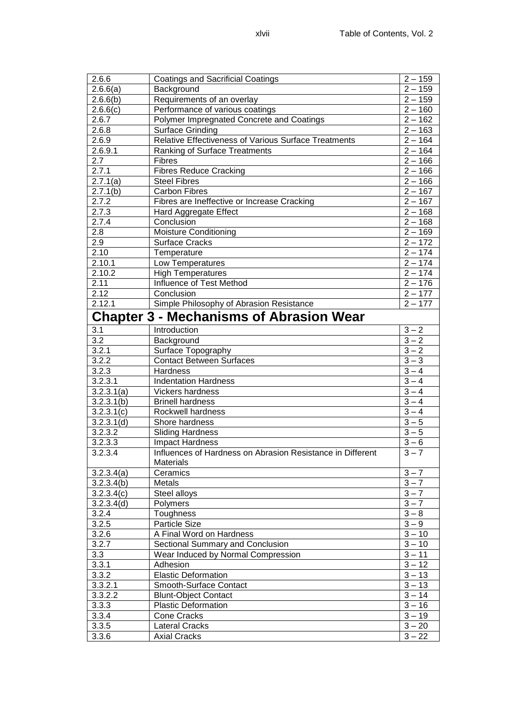| 2.6.6                   | <b>Coatings and Sacrificial Coatings</b>                   | $2 - 159$           |
|-------------------------|------------------------------------------------------------|---------------------|
| 2.6.6(a)                | Background                                                 | $2 - 159$           |
| 2.6.6(b)                | Requirements of an overlay                                 | $2 - 159$           |
| 2.6.6(c)                | Performance of various coatings                            | $2 - 160$           |
| 2.6.7                   | Polymer Impregnated Concrete and Coatings                  | $2 - 162$           |
| 2.6.8                   | <b>Surface Grinding</b>                                    | $2 - 163$           |
| 2.6.9                   | Relative Effectiveness of Various Surface Treatments       | $2 - 164$           |
| 2.6.9.1                 | <b>Ranking of Surface Treatments</b>                       | $2 - 164$           |
| 2.7                     | <b>Fibres</b>                                              | $2 - 166$           |
| 2.7.1                   | <b>Fibres Reduce Cracking</b>                              | $2 - 166$           |
| 2.7.1(a)                | <b>Steel Fibres</b>                                        | $2 - 166$           |
| 2.7.1(b)                | <b>Carbon Fibres</b>                                       | $2 - 167$           |
| 2.7.2                   | Fibres are Ineffective or Increase Cracking                | $2 - 167$           |
| 2.7.3                   | Hard Aggregate Effect                                      | $2 - 168$           |
| 2.7.4                   | Conclusion                                                 | $2 - 168$           |
| 2.8                     | <b>Moisture Conditioning</b>                               | $2 - 169$           |
| 2.9                     | <b>Surface Cracks</b>                                      | $2 - 172$           |
| 2.10                    | Temperature                                                | $2 - 174$           |
| 2.10.1                  | Low Temperatures                                           | $2 - 174$           |
| 2.10.2                  | <b>High Temperatures</b>                                   | $2 - 174$           |
| 2.11                    | Influence of Test Method                                   | $2 - 176$           |
| 2.12                    | Conclusion                                                 | $2 - 177$           |
| 2.12.1                  | Simple Philosophy of Abrasion Resistance                   | $2 - 177$           |
|                         | <b>Chapter 3 - Mechanisms of Abrasion Wear</b>             |                     |
| 3.1                     | <b>Introduction</b>                                        | $3 - 2$             |
| 3.2                     | Background                                                 | $3 - 2$             |
| 3.2.1                   | Surface Topography                                         | $3 - 2$             |
| 3.2.2                   | <b>Contact Between Surfaces</b>                            | $3 - 3$             |
| 3.2.3                   | Hardness                                                   | $3 - 4$             |
| 3.2.3.1                 | <b>Indentation Hardness</b>                                | $3 - 4$             |
| 3.2.3.1(a)              | Vickers hardness                                           | $3 - 4$             |
| 3.2.3.1(b)              | <b>Brinell hardness</b>                                    | $3 - 4$             |
| 3.2.3.1(c)              | Rockwell hardness                                          | $3 - 4$             |
| 3.2.3.1(d)              | Shore hardness                                             | $3 - 5$             |
| 3.2.3.2                 | <b>Sliding Hardness</b>                                    | $3 - 5$             |
| 3.2.3.3                 | Impact Hardness                                            | $3 - 6$             |
| 3.2.3.4                 | Influences of Hardness on Abrasion Resistance in Different | $3 - 7$             |
|                         | Materials                                                  |                     |
| 3.2.3.4(a)              | Ceramics                                                   | $3 - 7$             |
| $\overline{3.2.3.4(b)}$ | Metals                                                     | $\frac{1}{3}$ – 7   |
| $\overline{3.2.3.4(c)}$ | Steel alloys                                               | $3 - 7$             |
| 3.2.3.4(d)              | Polymers                                                   | $3 - 7$             |
| 3.2.4                   | Toughness                                                  | $\overline{3} - 8$  |
| 3.2.5                   | Particle Size                                              | $\overline{3} - 9$  |
| 3.2.6                   | A Final Word on Hardness                                   | $\overline{3} - 10$ |
| 3.2.7                   | Sectional Summary and Conclusion                           | $\overline{3} - 10$ |
| 3.3                     | Wear Induced by Normal Compression                         | $\overline{3} - 11$ |
| 3.3.1                   | Adhesion                                                   | $\overline{3}$ – 12 |
| 3.3.2                   | <b>Elastic Deformation</b>                                 | $3 - 13$            |
| 3.3.2.1                 | Smooth-Surface Contact                                     | $\overline{3}$ – 13 |
| 3.3.2.2                 | <b>Blunt-Object Contact</b>                                | $\overline{3}$ – 14 |
| 3.3.3                   | <b>Plastic Deformation</b>                                 | $3 - 16$            |
| 3.3.4                   | <b>Cone Cracks</b>                                         | $3 - 19$            |
| 3.3.5                   | <b>Lateral Cracks</b>                                      | $3 - 20$            |
| 3.3.6                   | <b>Axial Cracks</b>                                        | $3 - 22$            |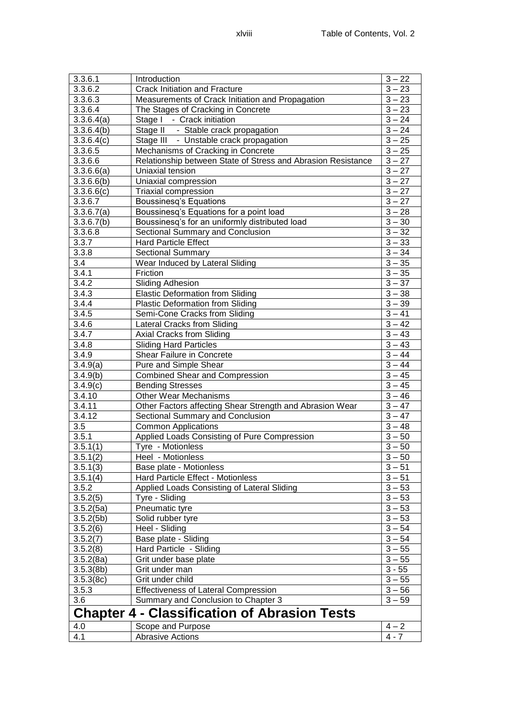| 3.3.6.1                                             | Introduction                                                 | $3 - 22$                                   |
|-----------------------------------------------------|--------------------------------------------------------------|--------------------------------------------|
| 3.3.6.2                                             | <b>Crack Initiation and Fracture</b>                         | $3 - 23$                                   |
| 3.3.6.3                                             | Measurements of Crack Initiation and Propagation             | $3 - 23$                                   |
| 3.3.6.4                                             | The Stages of Cracking in Concrete                           | $3 - 23$                                   |
| 3.3.6.4(a)                                          | Stage I - Crack initiation                                   | $3 - 24$                                   |
| 3.3.6.4(b)                                          | Stage II - Stable crack propagation                          | $3 - 24$                                   |
| 3.3.6.4(c)                                          | Stage III - Unstable crack propagation                       | $3 - 25$                                   |
| 3.3.6.5                                             | Mechanisms of Cracking in Concrete                           | $3 - 25$                                   |
| 3.3.6.6                                             | Relationship between State of Stress and Abrasion Resistance | $3 - 27$                                   |
| 3.3.6.6(a)                                          | Uniaxial tension                                             | $3 - 27$                                   |
| 3.3.6.6(b)                                          | Uniaxial compression                                         | $3 - 27$                                   |
| 3.3.6.6(c)                                          | Triaxial compression                                         | $3 - 27$                                   |
| 3.3.6.7                                             | Boussinesq's Equations                                       | $3 - 27$                                   |
| 3.3.6.7(a)                                          | Boussinesq's Equations for a point load                      | $3 - 28$                                   |
| 3.3.6.7(b)                                          | Boussinesq's for an uniformly distributed load               | $3 - 30$                                   |
| 3.3.6.8                                             | Sectional Summary and Conclusion                             | $3 - 32$                                   |
| 3.3.7                                               | Hard Particle Effect                                         | $3 - 33$                                   |
| 3.3.8                                               | <b>Sectional Summary</b>                                     | $3 - 34$                                   |
| 3.4                                                 | Wear Induced by Lateral Sliding                              | $3 - 35$                                   |
| 3.4.1                                               | Friction                                                     | $3 - 35$                                   |
| 3.4.2                                               | <b>Sliding Adhesion</b>                                      | $3 - 37$                                   |
| 3.4.3                                               | <b>Elastic Deformation from Sliding</b>                      | $3 - 38$                                   |
| 3.4.4                                               | Plastic Deformation from Sliding                             | $3 - 39$                                   |
| 3.4.5                                               | Semi-Cone Cracks from Sliding                                | $3 - 41$                                   |
|                                                     |                                                              | $3 - 42$                                   |
| 3.4.6                                               | <b>Lateral Cracks from Sliding</b>                           | $3 - 43$                                   |
| 3.4.7                                               | Axial Cracks from Sliding                                    |                                            |
| 3.4.8                                               | <b>Sliding Hard Particles</b>                                | $3 - 43$<br>$3 - 44$                       |
| 3.4.9                                               | Shear Failure in Concrete                                    | $\overline{3} - 44$                        |
| 3.4.9(a)                                            | Pure and Simple Shear                                        | $\overline{3} - 45$                        |
| 3.4.9(b)                                            | <b>Combined Shear and Compression</b>                        | $\overline{3} - 45$                        |
| 3.4.9(c)                                            | <b>Bending Stresses</b>                                      |                                            |
| 3.4.10                                              | <b>Other Wear Mechanisms</b>                                 | $\overline{3} - 46$<br>$\overline{3} - 47$ |
| 3.4.11                                              | Other Factors affecting Shear Strength and Abrasion Wear     | $\overline{3} - 47$                        |
| 3.4.12                                              | Sectional Summary and Conclusion                             |                                            |
| 3.5<br>3.5.1                                        | <b>Common Applications</b>                                   | $3 - 48$                                   |
|                                                     | Applied Loads Consisting of Pure Compression                 | $3 - 50$                                   |
| 3.5.1(1)                                            | Tyre - Motionless                                            | $3 - 50$                                   |
| 3.5.1(2)                                            | Heel - Motionless                                            | $3 - 50$                                   |
| 3.5.1(3)                                            | Base plate - Motionless                                      | $3 - 51$                                   |
| 3.5.1(4)                                            | <b>Hard Particle Effect - Motionless</b>                     | $3 - 51$                                   |
| 3.5.2                                               | Applied Loads Consisting of Lateral Sliding                  | 3<br>$-53$                                 |
| 3.5.2(5)                                            | Tyre - Sliding                                               | 3<br>$-53$                                 |
| 3.5.2(5a)                                           | Pneumatic tyre                                               | 3<br>- 53                                  |
| 3.5.2(5b)                                           | Solid rubber tyre                                            | 3<br>- 53                                  |
| 3.5.2(6)                                            | Heel - Sliding                                               | 3<br>- 54                                  |
| 3.5.2(7)                                            | Base plate - Sliding                                         | 3<br>$-54$                                 |
| 3.5.2(8)                                            | Hard Particle - Sliding                                      | 3<br>$-55$                                 |
| 3.5.2(8a)                                           | Grit under base plate                                        | 3<br>$-55$                                 |
| 3.5.3(8b)                                           | Grit under man                                               | $3 - 55$                                   |
| 3.5.3(8c)                                           | Grit under child                                             | 3<br>$-55$                                 |
| 3.5.3                                               | <b>Effectiveness of Lateral Compression</b>                  | 3<br>$-56$                                 |
| 3.6                                                 | Summary and Conclusion to Chapter 3                          | $3 - 59$                                   |
| <b>Chapter 4 - Classification of Abrasion Tests</b> |                                                              |                                            |
| 4.0                                                 | Scope and Purpose                                            | $4 - 2$                                    |
| 4.1                                                 | <b>Abrasive Actions</b>                                      | $4 - 7$                                    |